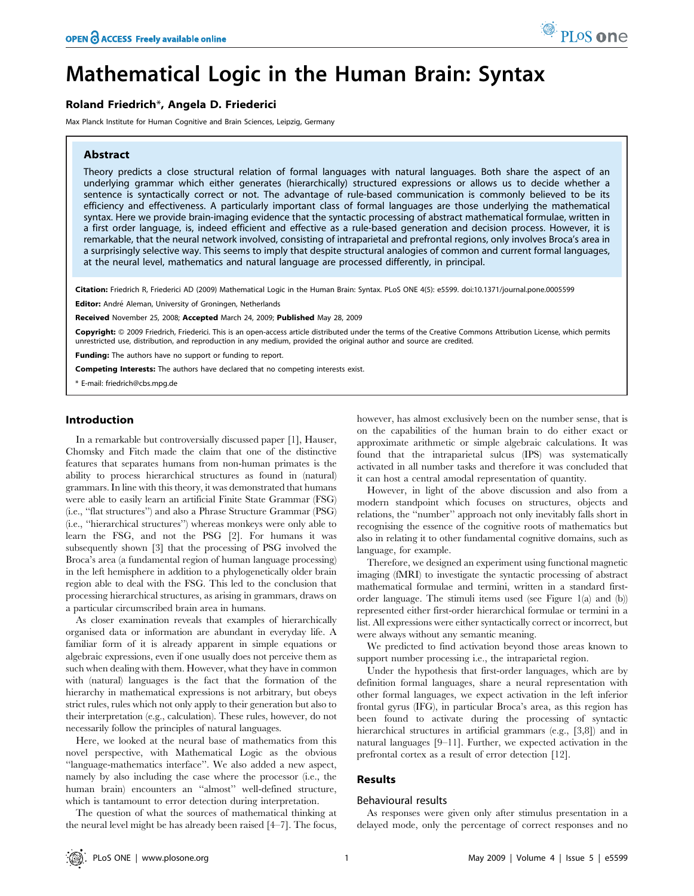# Mathematical Logic in the Human Brain: Syntax

# Roland Friedrich\*, Angela D. Friederici

Max Planck Institute for Human Cognitive and Brain Sciences, Leipzig, Germany

# Abstract

Theory predicts a close structural relation of formal languages with natural languages. Both share the aspect of an underlying grammar which either generates (hierarchically) structured expressions or allows us to decide whether a sentence is syntactically correct or not. The advantage of rule-based communication is commonly believed to be its efficiency and effectiveness. A particularly important class of formal languages are those underlying the mathematical syntax. Here we provide brain-imaging evidence that the syntactic processing of abstract mathematical formulae, written in a first order language, is, indeed efficient and effective as a rule-based generation and decision process. However, it is remarkable, that the neural network involved, consisting of intraparietal and prefrontal regions, only involves Broca's area in a surprisingly selective way. This seems to imply that despite structural analogies of common and current formal languages, at the neural level, mathematics and natural language are processed differently, in principal.

Citation: Friedrich R, Friederici AD (2009) Mathematical Logic in the Human Brain: Syntax. PLoS ONE 4(5): e5599. doi:10.1371/journal.pone.0005599

Editor: André Aleman, University of Groningen, Netherlands

Received November 25, 2008; Accepted March 24, 2009; Published May 28, 2009

Copyright: © 2009 Friedrich, Friederici. This is an open-access article distributed under the terms of the Creative Commons Attribution License, which permits unrestricted use, distribution, and reproduction in any medium, provided the original author and source are credited.

Funding: The authors have no support or funding to report.

Competing Interests: The authors have declared that no competing interests exist.

\* E-mail: friedrich@cbs.mpg.de

# Introduction

In a remarkable but controversially discussed paper [1], Hauser, Chomsky and Fitch made the claim that one of the distinctive features that separates humans from non-human primates is the ability to process hierarchical structures as found in (natural) grammars. In line with this theory, it was demonstrated that humans were able to easily learn an artificial Finite State Grammar (FSG) (i.e., ''flat structures'') and also a Phrase Structure Grammar (PSG) (i.e., ''hierarchical structures'') whereas monkeys were only able to learn the FSG, and not the PSG [2]. For humans it was subsequently shown [3] that the processing of PSG involved the Broca's area (a fundamental region of human language processing) in the left hemisphere in addition to a phylogenetically older brain region able to deal with the FSG. This led to the conclusion that processing hierarchical structures, as arising in grammars, draws on a particular circumscribed brain area in humans.

As closer examination reveals that examples of hierarchically organised data or information are abundant in everyday life. A familiar form of it is already apparent in simple equations or algebraic expressions, even if one usually does not perceive them as such when dealing with them. However, what they have in common with (natural) languages is the fact that the formation of the hierarchy in mathematical expressions is not arbitrary, but obeys strict rules, rules which not only apply to their generation but also to their interpretation (e.g., calculation). These rules, however, do not necessarily follow the principles of natural languages.

Here, we looked at the neural base of mathematics from this novel perspective, with Mathematical Logic as the obvious ''language-mathematics interface''. We also added a new aspect, namely by also including the case where the processor (i.e., the human brain) encounters an ''almost'' well-defined structure, which is tantamount to error detection during interpretation.

The question of what the sources of mathematical thinking at the neural level might be has already been raised [4–7]. The focus, however, has almost exclusively been on the number sense, that is on the capabilities of the human brain to do either exact or approximate arithmetic or simple algebraic calculations. It was found that the intraparietal sulcus (IPS) was systematically activated in all number tasks and therefore it was concluded that it can host a central amodal representation of quantity.

However, in light of the above discussion and also from a modern standpoint which focuses on structures, objects and relations, the ''number'' approach not only inevitably falls short in recognising the essence of the cognitive roots of mathematics but also in relating it to other fundamental cognitive domains, such as language, for example.

Therefore, we designed an experiment using functional magnetic imaging (fMRI) to investigate the syntactic processing of abstract mathematical formulae and termini, written in a standard firstorder language. The stimuli items used (see Figure 1(a) and (b)) represented either first-order hierarchical formulae or termini in a list. All expressions were either syntactically correct or incorrect, but were always without any semantic meaning.

We predicted to find activation beyond those areas known to support number processing i.e., the intraparietal region.

Under the hypothesis that first-order languages, which are by definition formal languages, share a neural representation with other formal languages, we expect activation in the left inferior frontal gyrus (IFG), in particular Broca's area, as this region has been found to activate during the processing of syntactic hierarchical structures in artificial grammars (e.g., [3,8]) and in natural languages [9–11]. Further, we expected activation in the prefrontal cortex as a result of error detection [12].

# Results

## Behavioural results

As responses were given only after stimulus presentation in a delayed mode, only the percentage of correct responses and no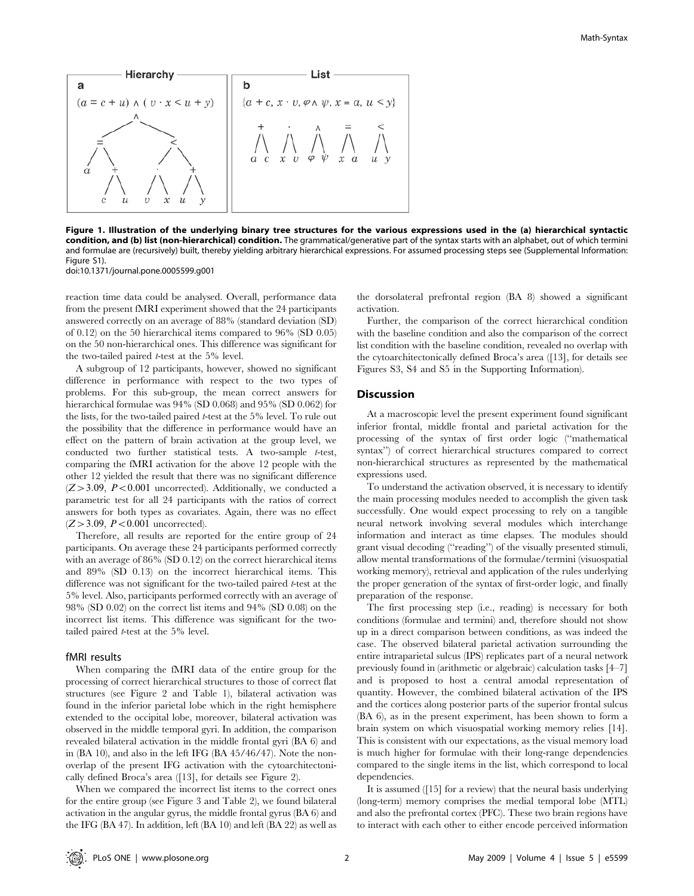

Figure 1. Illustration of the underlying binary tree structures for the various expressions used in the (a) hierarchical syntactic condition, and (b) list (non-hierarchical) condition. The grammatical/generative part of the syntax starts with an alphabet, out of which termini and formulae are (recursively) built, thereby yielding arbitrary hierarchical expressions. For assumed processing steps see (Supplemental Information: Figure S1). doi:10.1371/journal.pone.0005599.g001

reaction time data could be analysed. Overall, performance data from the present fMRI experiment showed that the 24 participants answered correctly on an average of 88% (standard deviation (SD) of 0.12) on the 50 hierarchical items compared to 96% (SD 0.05) on the 50 non-hierarchical ones. This difference was significant for the two-tailed paired t-test at the 5% level.

A subgroup of 12 participants, however, showed no significant difference in performance with respect to the two types of problems. For this sub-group, the mean correct answers for hierarchical formulae was 94% (SD 0.068) and 95% (SD 0.062) for the lists, for the two-tailed paired t-test at the 5% level. To rule out the possibility that the difference in performance would have an effect on the pattern of brain activation at the group level, we conducted two further statistical tests. A two-sample t-test, comparing the fMRI activation for the above 12 people with the other 12 yielded the result that there was no significant difference  $(Z > 3.09, P < 0.001$  uncorrected). Additionally, we conducted a parametric test for all 24 participants with the ratios of correct answers for both types as covariates. Again, there was no effect  $(Z > 3.09, P < 0.001$  uncorrected).

Therefore, all results are reported for the entire group of 24 participants. On average these 24 participants performed correctly with an average of 86% (SD 0.12) on the correct hierarchical items and 89% (SD 0.13) on the incorrect hierarchical items. This difference was not significant for the two-tailed paired t-test at the 5% level. Also, participants performed correctly with an average of 98% (SD 0.02) on the correct list items and 94% (SD 0.08) on the incorrect list items. This difference was significant for the twotailed paired t-test at the 5% level.

## fMRI results

When comparing the fMRI data of the entire group for the processing of correct hierarchical structures to those of correct flat structures (see Figure 2 and Table 1), bilateral activation was found in the inferior parietal lobe which in the right hemisphere extended to the occipital lobe, moreover, bilateral activation was observed in the middle temporal gyri. In addition, the comparison revealed bilateral activation in the middle frontal gyri (BA 6) and in (BA 10), and also in the left IFG (BA 45/46/47). Note the nonoverlap of the present IFG activation with the cytoarchitectonically defined Broca's area ([13], for details see Figure 2).

When we compared the incorrect list items to the correct ones for the entire group (see Figure 3 and Table 2), we found bilateral activation in the angular gyrus, the middle frontal gyrus (BA 6) and the IFG (BA 47). In addition, left (BA 10) and left (BA 22) as well as the dorsolateral prefrontal region (BA 8) showed a significant activation.

Further, the comparison of the correct hierarchical condition with the baseline condition and also the comparison of the correct list condition with the baseline condition, revealed no overlap with the cytoarchitectonically defined Broca's area ([13], for details see Figures S3, S4 and S5 in the Supporting Information).

# Discussion

At a macroscopic level the present experiment found significant inferior frontal, middle frontal and parietal activation for the processing of the syntax of first order logic (''mathematical syntax'') of correct hierarchical structures compared to correct non-hierarchical structures as represented by the mathematical expressions used.

To understand the activation observed, it is necessary to identify the main processing modules needed to accomplish the given task successfully. One would expect processing to rely on a tangible neural network involving several modules which interchange information and interact as time elapses. The modules should grant visual decoding (''reading'') of the visually presented stimuli, allow mental transformations of the formulae/termini (visuospatial working memory), retrieval and application of the rules underlying the proper generation of the syntax of first-order logic, and finally preparation of the response.

The first processing step (i.e., reading) is necessary for both conditions (formulae and termini) and, therefore should not show up in a direct comparison between conditions, as was indeed the case. The observed bilateral parietal activation surrounding the entire intraparietal sulcus (IPS) replicates part of a neural network previously found in (arithmetic or algebraic) calculation tasks [4–7] and is proposed to host a central amodal representation of quantity. However, the combined bilateral activation of the IPS and the cortices along posterior parts of the superior frontal sulcus (BA 6), as in the present experiment, has been shown to form a brain system on which visuospatial working memory relies [14]. This is consistent with our expectations, as the visual memory load is much higher for formulae with their long-range dependencies compared to the single items in the list, which correspond to local dependencies.

It is assumed ([15] for a review) that the neural basis underlying (long-term) memory comprises the medial temporal lobe (MTL) and also the prefrontal cortex (PFC). These two brain regions have to interact with each other to either encode perceived information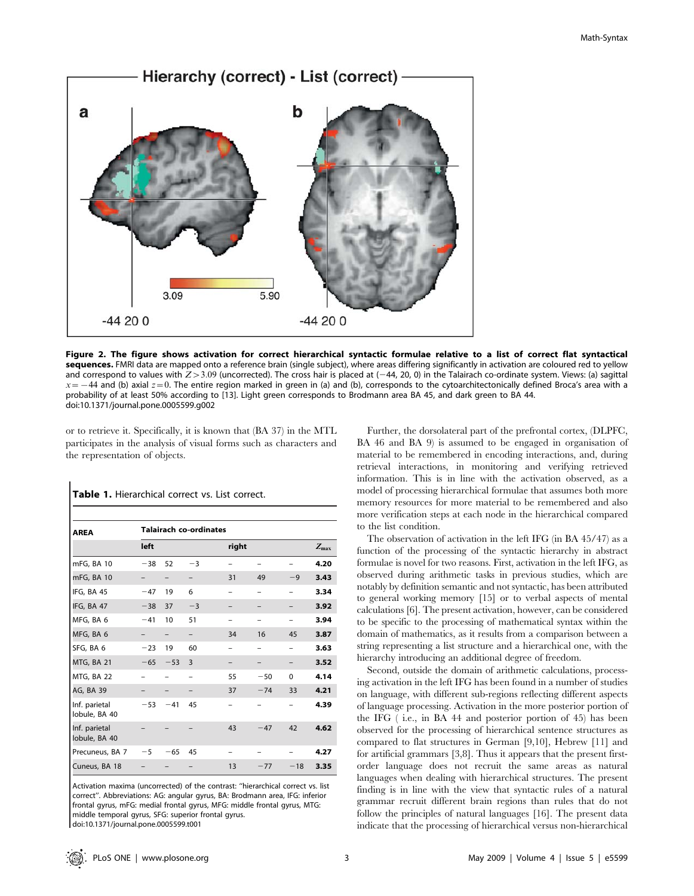

Figure 2. The figure shows activation for correct hierarchical syntactic formulae relative to a list of correct flat syntactical sequences. FMRI data are mapped onto a reference brain (single subject), where areas differing significantly in activation are coloured red to yellow and correspond to values with  $Z > 3.09$  (uncorrected). The cross hair is placed at  $(-44, 20, 0)$  in the Talairach co-ordinate system. Views: (a) sagittal  $x=-44$  and (b) axial  $z=0$ . The entire region marked in green in (a) and (b), corresponds to the cytoarchitectonically defined Broca's area with a probability of at least 50% according to [13]. Light green corresponds to Brodmann area BA 45, and dark green to BA 44. doi:10.1371/journal.pone.0005599.g002

or to retrieve it. Specifically, it is known that (BA 37) in the MTL participates in the analysis of visual forms such as characters and the representation of objects.

| <b>AREA</b>                    | <b>Talairach co-ordinates</b> |                   |      |       |       |          |                  |  |
|--------------------------------|-------------------------------|-------------------|------|-------|-------|----------|------------------|--|
|                                | left                          |                   |      | right |       |          | $Z_{\text{max}}$ |  |
| mFG, BA 10                     | $-38$                         | 52                | $-3$ |       |       |          | 4.20             |  |
| mFG, BA 10                     |                               | $\qquad \qquad -$ |      | 31    | 49    | $-9$     | 3.43             |  |
| IFG, BA 45                     | $-47$                         | 19                | 6    |       |       |          | 3.34             |  |
| IFG, BA 47                     | $-38$                         | 37                | $-3$ |       |       |          | 3.92             |  |
| MFG, BA 6                      | $-41$                         | 10                | 51   |       |       |          | 3.94             |  |
| MFG, BA 6                      |                               | -                 |      | 34    | 16    | 45       | 3.87             |  |
| SFG, BA 6                      | $-23$                         | 19                | 60   |       |       |          | 3.63             |  |
| MTG, BA 21                     | $-65$                         | $-53$             | 3    |       |       |          | 3.52             |  |
| MTG, BA 22                     |                               |                   |      | 55    | $-50$ | $\Omega$ | 4.14             |  |
| AG, BA 39                      |                               |                   |      | 37    | $-74$ | 33       | 4.21             |  |
| Inf. parietal<br>lobule, BA 40 | $-53$                         | $-41$             | 45   |       |       |          | 4.39             |  |
| Inf. parietal<br>lobule, BA 40 |                               |                   |      | 43    | $-47$ | 42       | 4.62             |  |
| Precuneus, BA 7                | $-5$                          | $-65$             | 45   |       |       |          | 4.27             |  |
| Cuneus, BA 18                  |                               |                   |      | 13    | $-77$ | $-18$    | 3.35             |  |

Table 1. Hierarchical correct vs. List correct.

Activation maxima (uncorrected) of the contrast: ''hierarchical correct vs. list correct''. Abbreviations: AG: angular gyrus, BA: Brodmann area, IFG: inferior frontal gyrus, mFG: medial frontal gyrus, MFG: middle frontal gyrus, MTG: middle temporal gyrus, SFG: superior frontal gyrus.

doi:10.1371/journal.pone.0005599.t001

Further, the dorsolateral part of the prefrontal cortex, (DLPFC, BA 46 and BA 9) is assumed to be engaged in organisation of material to be remembered in encoding interactions, and, during retrieval interactions, in monitoring and verifying retrieved information. This is in line with the activation observed, as a model of processing hierarchical formulae that assumes both more memory resources for more material to be remembered and also more verification steps at each node in the hierarchical compared to the list condition.

The observation of activation in the left IFG (in BA 45/47) as a function of the processing of the syntactic hierarchy in abstract formulae is novel for two reasons. First, activation in the left IFG, as observed during arithmetic tasks in previous studies, which are notably by definition semantic and not syntactic, has been attributed to general working memory [15] or to verbal aspects of mental calculations [6]. The present activation, however, can be considered to be specific to the processing of mathematical syntax within the domain of mathematics, as it results from a comparison between a string representing a list structure and a hierarchical one, with the hierarchy introducing an additional degree of freedom.

Second, outside the domain of arithmetic calculations, processing activation in the left IFG has been found in a number of studies on language, with different sub-regions reflecting different aspects of language processing. Activation in the more posterior portion of the IFG ( i.e., in BA 44 and posterior portion of 45) has been observed for the processing of hierarchical sentence structures as compared to flat structures in German [9,10], Hebrew [11] and for artificial grammars [3,8]. Thus it appears that the present firstorder language does not recruit the same areas as natural languages when dealing with hierarchical structures. The present finding is in line with the view that syntactic rules of a natural grammar recruit different brain regions than rules that do not follow the principles of natural languages [16]. The present data indicate that the processing of hierarchical versus non-hierarchical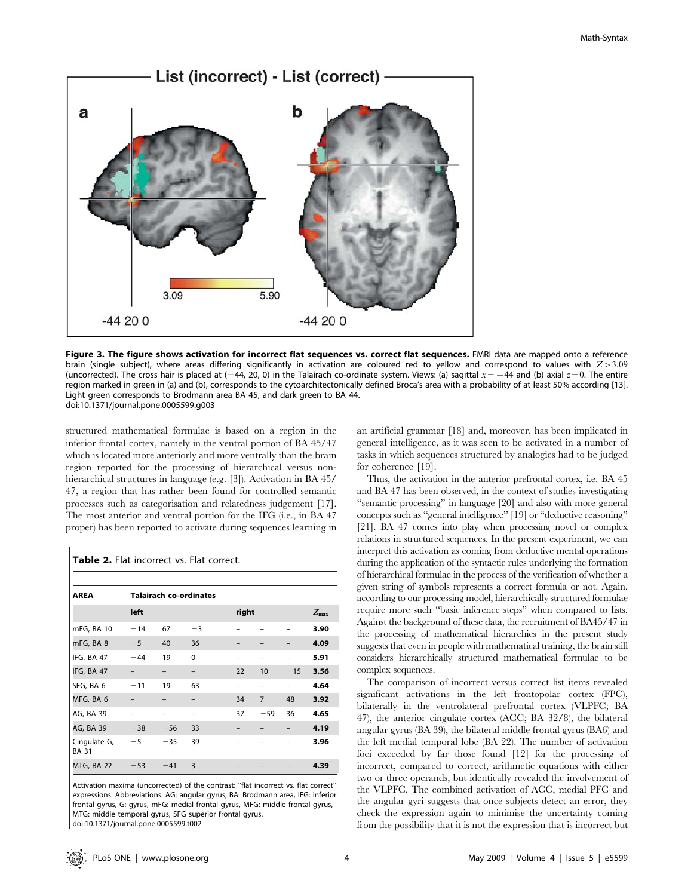

Figure 3. The figure shows activation for incorrect flat sequences vs. correct flat sequences. FMRI data are mapped onto a reference brain (single subject), where areas differing significantly in activation are coloured red to yellow and correspond to values with  $Z>3.09$ (uncorrected). The cross hair is placed at (-44, 20, 0) in the Talairach co-ordinate system. Views: (a) sagittal  $x = -44$  and (b) axial  $z = 0$ . The entire region marked in green in (a) and (b), corresponds to the cytoarchitectonically defined Broca's area with a probability of at least 50% according [13]. Light green corresponds to Brodmann area BA 45, and dark green to BA 44. doi:10.1371/journal.pone.0005599.g003

structured mathematical formulae is based on a region in the inferior frontal cortex, namely in the ventral portion of BA 45/47 which is located more anteriorly and more ventrally than the brain region reported for the processing of hierarchical versus nonhierarchical structures in language (e.g. [3]). Activation in BA 45/ 47, a region that has rather been found for controlled semantic processes such as categorisation and relatedness judgement [17]. The most anterior and ventral portion for the IFG (i.e., in BA 47 proper) has been reported to activate during sequences learning in

| Table 2. Flat incorrect vs. Flat correct. |  |
|-------------------------------------------|--|
|-------------------------------------------|--|

 $\overline{\phantom{a}}$ 

| <b>AREA</b>                  | <b>Talairach co-ordinates</b> |       |          |    |                |       |      |  |  |
|------------------------------|-------------------------------|-------|----------|----|----------------|-------|------|--|--|
|                              | left                          |       |          |    | right          |       |      |  |  |
| mFG, BA 10                   | $-14$                         | 67    | $-3$     |    |                |       | 3.90 |  |  |
| mFG, BA 8                    | $-5$                          | 40    | 36       |    |                |       | 4.09 |  |  |
| IFG, BA 47                   | $-44$                         | 19    | $\Omega$ |    |                |       | 5.91 |  |  |
| IFG, BA 47                   |                               |       |          | 22 | 10             | $-15$ | 3.56 |  |  |
| SFG, BA 6                    | $-11$                         | 19    | 63       |    |                |       | 4.64 |  |  |
| MFG, BA 6                    |                               |       |          | 34 | $\overline{7}$ | 48    | 3.92 |  |  |
| AG, BA 39                    |                               |       |          | 37 | $-59$          | 36    | 4.65 |  |  |
| AG, BA 39                    | $-38$                         | $-56$ | 33       |    |                |       | 4.19 |  |  |
| Cingulate G,<br><b>BA 31</b> | $-5$                          | $-35$ | 39       |    |                |       | 3.96 |  |  |
| MTG, BA 22                   | $-53$                         | $-41$ | 3        |    |                |       | 4.39 |  |  |

Activation maxima (uncorrected) of the contrast: ''flat incorrect vs. flat correct'' expressions. Abbreviations: AG: angular gyrus, BA: Brodmann area, IFG: inferior frontal gyrus, G: gyrus, mFG: medial frontal gyrus, MFG: middle frontal gyrus, MTG: middle temporal gyrus, SFG superior frontal gyrus.

doi:10.1371/journal.pone.0005599.t002

an artificial grammar [18] and, moreover, has been implicated in general intelligence, as it was seen to be activated in a number of tasks in which sequences structured by analogies had to be judged for coherence [19].

Thus, the activation in the anterior prefrontal cortex, i.e. BA 45 and BA 47 has been observed, in the context of studies investigating ''semantic processing'' in language [20] and also with more general concepts such as ''general intelligence'' [19] or ''deductive reasoning'' [21]. BA 47 comes into play when processing novel or complex relations in structured sequences. In the present experiment, we can interpret this activation as coming from deductive mental operations during the application of the syntactic rules underlying the formation of hierarchical formulae in the process of the verification of whether a given string of symbols represents a correct formula or not. Again, according to our processing model, hierarchically structured formulae require more such ''basic inference steps'' when compared to lists. Against the background of these data, the recruitment of BA45/47 in the processing of mathematical hierarchies in the present study suggests that even in people with mathematical training, the brain still considers hierarchically structured mathematical formulae to be complex sequences.

The comparison of incorrect versus correct list items revealed significant activations in the left frontopolar cortex (FPC), bilaterally in the ventrolateral prefrontal cortex (VLPFC; BA 47), the anterior cingulate cortex (ACC; BA 32/8), the bilateral angular gyrus (BA 39), the bilateral middle frontal gyrus (BA6) and the left medial temporal lobe (BA 22). The number of activation foci exceeded by far those found [12] for the processing of incorrect, compared to correct, arithmetic equations with either two or three operands, but identically revealed the involvement of the VLPFC. The combined activation of ACC, medial PFC and the angular gyri suggests that once subjects detect an error, they check the expression again to minimise the uncertainty coming from the possibility that it is not the expression that is incorrect but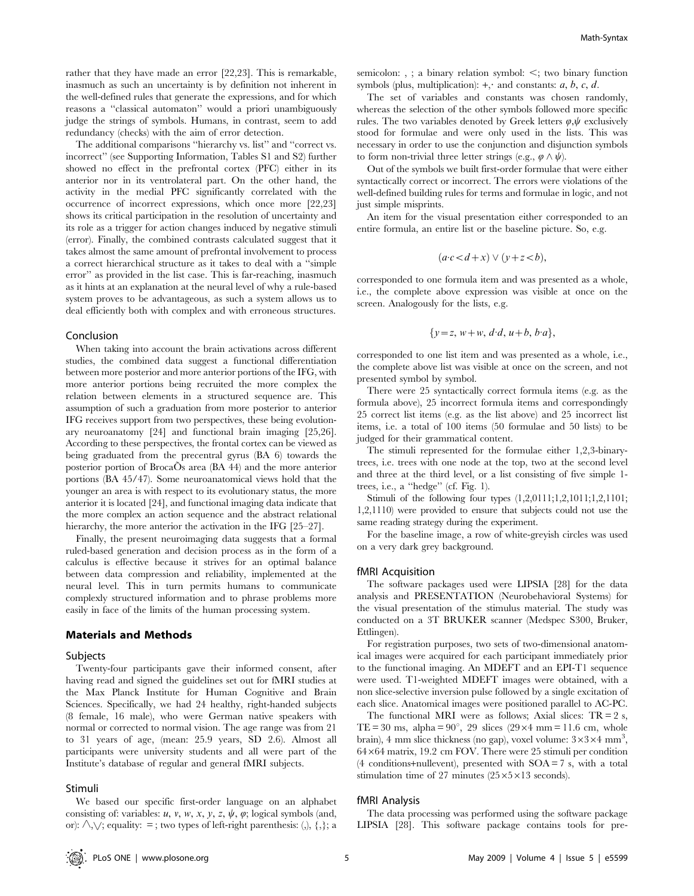rather that they have made an error [22,23]. This is remarkable, inasmuch as such an uncertainty is by definition not inherent in the well-defined rules that generate the expressions, and for which reasons a ''classical automaton'' would a priori unambiguously judge the strings of symbols. Humans, in contrast, seem to add redundancy (checks) with the aim of error detection.

The additional comparisons ''hierarchy vs. list'' and ''correct vs. incorrect'' (see Supporting Information, Tables S1 and S2) further showed no effect in the prefrontal cortex (PFC) either in its anterior nor in its ventrolateral part. On the other hand, the activity in the medial PFC significantly correlated with the occurrence of incorrect expressions, which once more [22,23] shows its critical participation in the resolution of uncertainty and its role as a trigger for action changes induced by negative stimuli (error). Finally, the combined contrasts calculated suggest that it takes almost the same amount of prefrontal involvement to process a correct hierarchical structure as it takes to deal with a ''simple error'' as provided in the list case. This is far-reaching, inasmuch as it hints at an explanation at the neural level of why a rule-based system proves to be advantageous, as such a system allows us to deal efficiently both with complex and with erroneous structures.

#### Conclusion

When taking into account the brain activations across different studies, the combined data suggest a functional differentiation between more posterior and more anterior portions of the IFG, with more anterior portions being recruited the more complex the relation between elements in a structured sequence are. This assumption of such a graduation from more posterior to anterior IFG receives support from two perspectives, these being evolutionary neuroanatomy [24] and functional brain imaging [25,26]. According to these perspectives, the frontal cortex can be viewed as being graduated from the precentral gyrus (BA 6) towards the posterior portion of BrocaOs area (BA 44) and the more anterior portions (BA 45/47). Some neuroanatomical views hold that the younger an area is with respect to its evolutionary status, the more anterior it is located [24], and functional imaging data indicate that the more complex an action sequence and the abstract relational hierarchy, the more anterior the activation in the IFG [25–27].

Finally, the present neuroimaging data suggests that a formal ruled-based generation and decision process as in the form of a calculus is effective because it strives for an optimal balance between data compression and reliability, implemented at the neural level. This in turn permits humans to communicate complexly structured information and to phrase problems more easily in face of the limits of the human processing system.

# Materials and Methods

#### Subjects

Twenty-four participants gave their informed consent, after having read and signed the guidelines set out for fMRI studies at the Max Planck Institute for Human Cognitive and Brain Sciences. Specifically, we had 24 healthy, right-handed subjects (8 female, 16 male), who were German native speakers with normal or corrected to normal vision. The age range was from 21 to 31 years of age, (mean: 25.9 years, SD 2.6). Almost all participants were university students and all were part of the Institute's database of regular and general fMRI subjects.

#### Stimuli

We based our specific first-order language on an alphabet consisting of: variables:  $u$ ,  $v$ ,  $w$ ,  $x$ ,  $y$ ,  $z$ ,  $\psi$ ,  $\varphi$ ; logical symbols (and, or):  $\land, \lor$ ; equality: =; two types of left-right parenthesis: (,), {,}; a

semicolon: , ; a binary relation symbol:  $\leq$ ; two binary function symbols (plus, multiplication):  $+$ , and constants: a, b, c, d.

The set of variables and constants was chosen randomly, whereas the selection of the other symbols followed more specific rules. The two variables denoted by Greek letters  $\varphi, \psi$  exclusively stood for formulae and were only used in the lists. This was necessary in order to use the conjunction and disjunction symbols to form non-trivial three letter strings (e.g.,  $\varphi \wedge \psi$ ).

Out of the symbols we built first-order formulae that were either syntactically correct or incorrect. The errors were violations of the well-defined building rules for terms and formulae in logic, and not just simple misprints.

An item for the visual presentation either corresponded to an entire formula, an entire list or the baseline picture. So, e.g.

$$
(a \cdot c < d + x) \lor (y + z < b),
$$

corresponded to one formula item and was presented as a whole, i.e., the complete above expression was visible at once on the screen. Analogously for the lists, e.g.

$$
\{y=z, w+w, d \cdot d, u+b, b \cdot a\},\
$$

corresponded to one list item and was presented as a whole, i.e., the complete above list was visible at once on the screen, and not presented symbol by symbol.

There were 25 syntactically correct formula items (e.g. as the formula above), 25 incorrect formula items and correspondingly 25 correct list items (e.g. as the list above) and 25 incorrect list items, i.e. a total of 100 items (50 formulae and 50 lists) to be judged for their grammatical content.

The stimuli represented for the formulae either 1,2,3-binarytrees, i.e. trees with one node at the top, two at the second level and three at the third level, or a list consisting of five simple 1 trees, i.e., a ''hedge'' (cf. Fig. 1).

Stimuli of the following four types (1,2,0111;1,2,1011;1,2,1101; 1,2,1110) were provided to ensure that subjects could not use the same reading strategy during the experiment.

For the baseline image, a row of white-greyish circles was used on a very dark grey background.

#### fMRI Acquisition

The software packages used were LIPSIA [28] for the data analysis and PRESENTATION (Neurobehavioral Systems) for the visual presentation of the stimulus material. The study was conducted on a 3T BRUKER scanner (Medspec S300, Bruker, Ettlingen).

For registration purposes, two sets of two-dimensional anatomical images were acquired for each participant immediately prior to the functional imaging. An MDEFT and an EPI-T1 sequence were used. T1-weighted MDEFT images were obtained, with a non slice-selective inversion pulse followed by a single excitation of each slice. Anatomical images were positioned parallel to AC-PC.

The functional MRI were as follows; Axial slices:  $TR = 2$  s, TE = 30 ms, alpha =  $90^{\circ}$ , 29 slices (29×4 mm = 11.6 cm, whole brain), 4 mm slice thickness (no gap), voxel volume:  $3\times3\times4$  mm<sup>3</sup>,  $64\times64$  matrix, 19.2 cm FOV. There were 25 stimuli per condition  $(4$  conditions+nullevent), presented with SOA = 7 s, with a total stimulation time of 27 minutes  $(25 \times 5 \times 13$  seconds).

## fMRI Analysis

The data processing was performed using the software package LIPSIA [28]. This software package contains tools for pre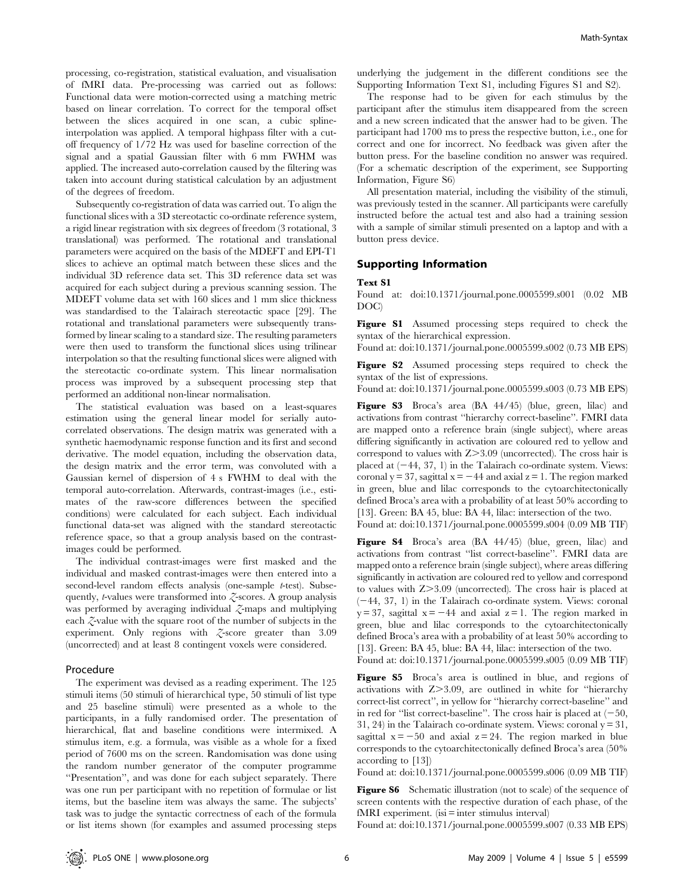processing, co-registration, statistical evaluation, and visualisation of fMRI data. Pre-processing was carried out as follows: Functional data were motion-corrected using a matching metric based on linear correlation. To correct for the temporal offset between the slices acquired in one scan, a cubic splineinterpolation was applied. A temporal highpass filter with a cutoff frequency of 1/72 Hz was used for baseline correction of the signal and a spatial Gaussian filter with 6 mm FWHM was applied. The increased auto-correlation caused by the filtering was taken into account during statistical calculation by an adjustment of the degrees of freedom.

Subsequently co-registration of data was carried out. To align the functional slices with a 3D stereotactic co-ordinate reference system, a rigid linear registration with six degrees of freedom (3 rotational, 3 translational) was performed. The rotational and translational parameters were acquired on the basis of the MDEFT and EPI-T1 slices to achieve an optimal match between these slices and the individual 3D reference data set. This 3D reference data set was acquired for each subject during a previous scanning session. The MDEFT volume data set with 160 slices and 1 mm slice thickness was standardised to the Talairach stereotactic space [29]. The rotational and translational parameters were subsequently transformed by linear scaling to a standard size. The resulting parameters were then used to transform the functional slices using trilinear interpolation so that the resulting functional slices were aligned with the stereotactic co-ordinate system. This linear normalisation process was improved by a subsequent processing step that performed an additional non-linear normalisation.

The statistical evaluation was based on a least-squares estimation using the general linear model for serially autocorrelated observations. The design matrix was generated with a synthetic haemodynamic response function and its first and second derivative. The model equation, including the observation data, the design matrix and the error term, was convoluted with a Gaussian kernel of dispersion of 4 s FWHM to deal with the temporal auto-correlation. Afterwards, contrast-images (i.e., estimates of the raw-score differences between the specified conditions) were calculated for each subject. Each individual functional data-set was aligned with the standard stereotactic reference space, so that a group analysis based on the contrastimages could be performed.

The individual contrast-images were first masked and the individual and masked contrast-images were then entered into a second-level random effects analysis (one-sample t-test). Subsequently, *t*-values were transformed into  $\zeta$ -scores. A group analysis was performed by averaging individual  $\mathcal{Z}$ -maps and multiplying each  $\zeta$ -value with the square root of the number of subjects in the experiment. Only regions with Z-score greater than 3.09 (uncorrected) and at least 8 contingent voxels were considered.

## Procedure

The experiment was devised as a reading experiment. The 125 stimuli items (50 stimuli of hierarchical type, 50 stimuli of list type and 25 baseline stimuli) were presented as a whole to the participants, in a fully randomised order. The presentation of hierarchical, flat and baseline conditions were intermixed. A stimulus item, e.g. a formula, was visible as a whole for a fixed period of 7600 ms on the screen. Randomisation was done using the random number generator of the computer programme ''Presentation'', and was done for each subject separately. There was one run per participant with no repetition of formulae or list items, but the baseline item was always the same. The subjects' task was to judge the syntactic correctness of each of the formula or list items shown (for examples and assumed processing steps underlying the judgement in the different conditions see the Supporting Information Text S1, including Figures S1 and S2).

The response had to be given for each stimulus by the participant after the stimulus item disappeared from the screen and a new screen indicated that the answer had to be given. The participant had 1700 ms to press the respective button, i.e., one for correct and one for incorrect. No feedback was given after the button press. For the baseline condition no answer was required. (For a schematic description of the experiment, see Supporting Information, Figure S6)

All presentation material, including the visibility of the stimuli, was previously tested in the scanner. All participants were carefully instructed before the actual test and also had a training session with a sample of similar stimuli presented on a laptop and with a button press device.

## Supporting Information

# Text S1

Found at: doi:10.1371/journal.pone.0005599.s001 (0.02 MB DOC)

Figure S1 Assumed processing steps required to check the syntax of the hierarchical expression.

Found at: doi:10.1371/journal.pone.0005599.s002 (0.73 MB EPS)

Figure S2 Assumed processing steps required to check the syntax of the list of expressions.

Found at: doi:10.1371/journal.pone.0005599.s003 (0.73 MB EPS)

Figure S3 Broca's area (BA 44/45) (blue, green, lilac) and activations from contrast ''hierarchy correct-baseline''. FMRI data are mapped onto a reference brain (single subject), where areas differing significantly in activation are coloured red to yellow and correspond to values with  $Z > 3.09$  (uncorrected). The cross hair is placed at  $(-44, 37, 1)$  in the Talairach co-ordinate system. Views: coronal y = 37, sagittal  $x = -44$  and axial  $z = 1$ . The region marked in green, blue and lilac corresponds to the cytoarchitectonically defined Broca's area with a probability of at least 50% according to [13]. Green: BA 45, blue: BA 44, lilac: intersection of the two.

Found at: doi:10.1371/journal.pone.0005599.s004 (0.09 MB TIF)

Figure S4 Broca's area (BA 44/45) (blue, green, lilac) and activations from contrast ''list correct-baseline''. FMRI data are mapped onto a reference brain (single subject), where areas differing significantly in activation are coloured red to yellow and correspond to values with  $Z > 3.09$  (uncorrected). The cross hair is placed at  $(-44, 37, 1)$  in the Talairach co-ordinate system. Views: coronal  $y = 37$ , sagittal  $x = -44$  and axial  $z = 1$ . The region marked in green, blue and lilac corresponds to the cytoarchitectonically defined Broca's area with a probability of at least 50% according to [13]. Green: BA 45, blue: BA 44, lilac: intersection of the two.

Found at: doi:10.1371/journal.pone.0005599.s005 (0.09 MB TIF)

Figure S5 Broca's area is outlined in blue, and regions of activations with  $Z > 3.09$ , are outlined in white for "hierarchy correct-list correct'', in yellow for ''hierarchy correct-baseline'' and in red for "list correct-baseline". The cross hair is placed at  $(-50, 0)$ 31, 24) in the Talairach co-ordinate system. Views: coronal  $y = 31$ , sagittal  $x = -50$  and axial  $z = 24$ . The region marked in blue corresponds to the cytoarchitectonically defined Broca's area (50% according to [13])

Found at: doi:10.1371/journal.pone.0005599.s006 (0.09 MB TIF)

Figure S6 Schematic illustration (not to scale) of the sequence of screen contents with the respective duration of each phase, of the  $fMRI$  experiment. (isi  $\equiv$  inter stimulus interval)

Found at: doi:10.1371/journal.pone.0005599.s007 (0.33 MB EPS)